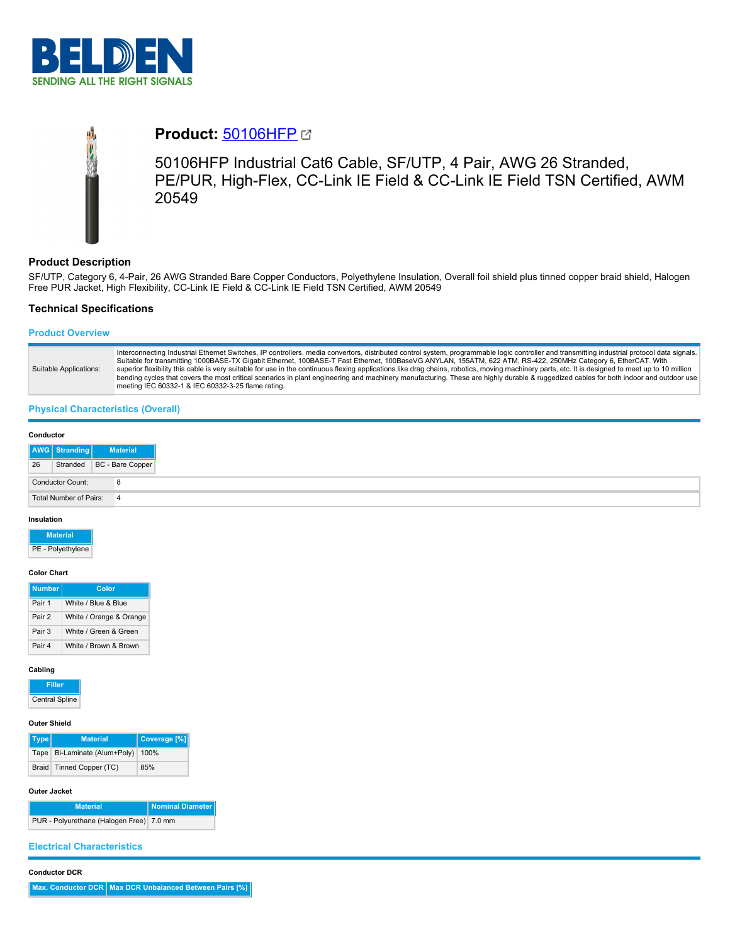

# **Product:** [50106HFP](https://catalog.belden.com/index.cfm?event=pd&p=PF_50106HFP&tab=downloads)

50106HFP Industrial Cat6 Cable, SF/UTP, 4 Pair, AWG 26 Stranded, PE/PUR, High-Flex, CC-Link IE Field & CC-Link IE Field TSN Certified, AWM 20549

# **Product Description**

SF/UTP, Category 6, 4-Pair, 26 AWG Stranded Bare Copper Conductors, Polyethylene Insulation, Overall foil shield plus tinned copper braid shield, Halogen Free PUR Jacket, High Flexibility, CC-Link IE Field & CC-Link IE Field TSN Certified, AWM 20549

## **Technical Specifications**

## **Product Overview**

| Suitable Applications: | Interconnecting Industrial Ethernet Switches, IP controllers, media convertors, distributed control system, programmable logic controller and transmitting industrial protocol data signals.<br>Suitable for transmitting 1000BASE-TX Gigabit Ethernet, 100BASE-T Fast Ethernet, 100BaseVG ANYLAN, 155ATM, 622 ATM, RS-422, 250MHz Category 6, EtherCAT. With<br>superior flexibility this cable is very suitable for use in the continuous flexing applications like drag chains, robotics, moving machinery parts, etc. It is designed to meet up to 10 million<br>bending cycles that covers the most critical scenarios in plant engineering and machinery manufacturing. These are highly durable & ruggedized cables for both indoor and outdoor use<br>meeting IEC 60332-1 & IEC 60332-3-25 flame rating. |
|------------------------|------------------------------------------------------------------------------------------------------------------------------------------------------------------------------------------------------------------------------------------------------------------------------------------------------------------------------------------------------------------------------------------------------------------------------------------------------------------------------------------------------------------------------------------------------------------------------------------------------------------------------------------------------------------------------------------------------------------------------------------------------------------------------------------------------------------|
|------------------------|------------------------------------------------------------------------------------------------------------------------------------------------------------------------------------------------------------------------------------------------------------------------------------------------------------------------------------------------------------------------------------------------------------------------------------------------------------------------------------------------------------------------------------------------------------------------------------------------------------------------------------------------------------------------------------------------------------------------------------------------------------------------------------------------------------------|

### **Physical Characteristics (Overall)**

| Conductor |                        |                           |
|-----------|------------------------|---------------------------|
|           | AWG Stranding          | <b>Material</b>           |
| 26        |                        | Stranded BC - Bare Copper |
|           | Conductor Count:       | 8                         |
|           | Total Number of Pairs: | 4                         |

#### **Insulation**

# **Material**

PE - Polyethylene

## **Color Chart**

| <b>Number</b> | Color                   |
|---------------|-------------------------|
| Pair 1        | White / Blue & Blue     |
| Pair 2        | White / Orange & Orange |
| Pair 3        | White / Green & Green   |
| Pair 4        | White / Brown & Brown   |

#### **Cabling**

**Filler** Central Spline

#### **Outer Shield**

| Type | <b>Material</b>                   | Coverage [%] |
|------|-----------------------------------|--------------|
|      | Tape Bi-Laminate (Alum+Poly) 100% |              |
|      | Braid Tinned Copper (TC)          | 85%          |

#### **Outer Jacket**

**Material Nominal Diam** PUR - Polyurethane (Halogen Free) 7.0 mm

## **Electrical Characteristics**

#### **Conductor DCR**

**Max. Conductor DCR Max DCR Unbalanced Between Pairs [%]**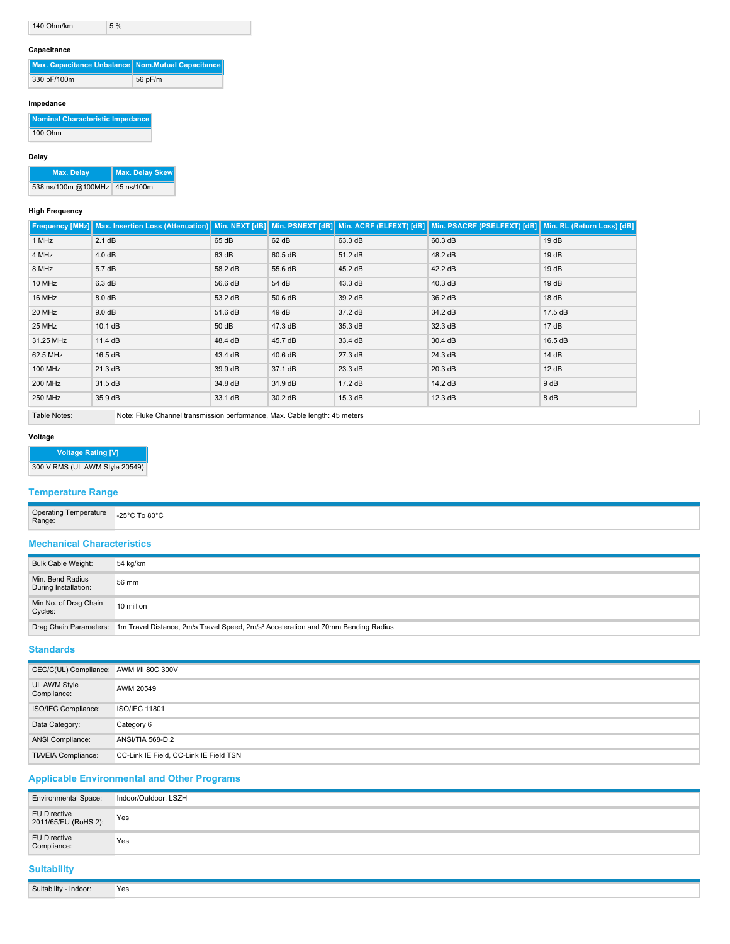#### **Capacitance**

| Max. Capacitance Unbalance Nom. Mutual Capacitance |         |
|----------------------------------------------------|---------|
| 330 pF/100m                                        | 56 pF/m |

## **Impedance**

| Nominal Characteristic Impedance |
|----------------------------------|
| 100 Ohm                          |

## **Delay**

**Max. Delay Max. Delay Skew**

538 ns/100m @100MHz 45 ns/100m

## **High Frequency**

|                | Frequency [MHz]   Max. Insertion Loss (Attenuation)   Min. NEXT [dB]   Min. PSNEXT [dB]   Min. ACRF (ELFEXT) [dB]   Min. PSACRF (PSELFEXT) [dB]   Min. RL (Return Loss) [dB] |         |         |         |         |         |
|----------------|------------------------------------------------------------------------------------------------------------------------------------------------------------------------------|---------|---------|---------|---------|---------|
| 1 MHz          | 2.1 dB                                                                                                                                                                       | 65 dB   | 62 dB   | 63.3 dB | 60.3 dB | 19dB    |
| 4 MHz          | 4.0 dB                                                                                                                                                                       | 63 dB   | 60.5 dB | 51.2 dB | 48.2 dB | 19dB    |
| 8 MHz          | 5.7dB                                                                                                                                                                        | 58.2 dB | 55.6 dB | 45.2 dB | 42.2 dB | 19dB    |
| 10 MHz         | 6.3 dB                                                                                                                                                                       | 56.6 dB | 54 dB   | 43.3 dB | 40.3 dB | 19dB    |
| 16 MHz         | 8.0 dB                                                                                                                                                                       | 53.2 dB | 50.6 dB | 39.2 dB | 36.2 dB | 18dB    |
| 20 MHz         | 9.0 dB                                                                                                                                                                       | 51.6 dB | 49 dB   | 37.2 dB | 34.2 dB | 17.5 dB |
| 25 MHz         | 10.1 dB                                                                                                                                                                      | 50 dB   | 47.3 dB | 35.3 dB | 32.3 dB | 17dB    |
| 31.25 MHz      | 11.4 dB                                                                                                                                                                      | 48.4 dB | 45.7 dB | 33.4 dB | 30.4 dB | 16.5 dB |
| 62.5 MHz       | 16.5 dB                                                                                                                                                                      | 43.4 dB | 40.6 dB | 27.3 dB | 24.3 dB | 14 dB   |
| 100 MHz        | 21.3 dB                                                                                                                                                                      | 39.9 dB | 37.1 dB | 23.3 dB | 20.3 dB | 12 dB   |
| <b>200 MHz</b> | 31.5 dB                                                                                                                                                                      | 34.8 dB | 31.9 dB | 17.2 dB | 14.2 dB | 9 dB    |
| 250 MHz        | 35.9 dB                                                                                                                                                                      | 33.1 dB | 30.2 dB | 15.3 dB | 12.3 dB | 8 dB    |
| Table Notes:   | Note: Fluke Channel transmission performance, Max. Cable length: 45 meters                                                                                                   |         |         |         |         |         |

# **Voltage**

**Voltage Rating [V]** 300 V RMS (UL AWM Style 20549)

## **Temperature Range**

| Operating Temperature<br>Range: | $0.80^{\circ}$<br>$-25^{\circ}$ C $-$<br>. |
|---------------------------------|--------------------------------------------|
|---------------------------------|--------------------------------------------|

## **Mechanical Characteristics**

| <b>Bulk Cable Weight:</b>                | 54 kg/km                                                                                                             |
|------------------------------------------|----------------------------------------------------------------------------------------------------------------------|
| Min. Bend Radius<br>During Installation: | 56 mm                                                                                                                |
| Min No. of Drag Chain<br>Cycles:         | 10 million                                                                                                           |
|                                          | Drag Chain Parameters: 1m Travel Distance, 2m/s Travel Speed, 2m/s <sup>2</sup> Acceleration and 70mm Bending Radius |

## **Standards**

| CEC/C(UL) Compliance: AWM I/II 80C 300V |                                        |
|-----------------------------------------|----------------------------------------|
| UL AWM Style<br>Compliance:             | AWM 20549                              |
| ISO/IEC Compliance:                     | <b>ISO/IEC 11801</b>                   |
| Data Category:                          | Category 6                             |
| ANSI Compliance:                        | ANSI/TIA 568-D.2                       |
| TIA/EIA Compliance:                     | CC-Link IE Field, CC-Link IE Field TSN |

# **Applicable Environmental and Other Programs**

Suitability - Indoor: Yes

| <b>Environmental Space:</b>          | Indoor/Outdoor, LSZH |
|--------------------------------------|----------------------|
| EU Directive<br>2011/65/EU (RoHS 2): | Yes                  |
| EU Directive<br>Compliance:          | Yes                  |
| <b>Suitability</b>                   |                      |